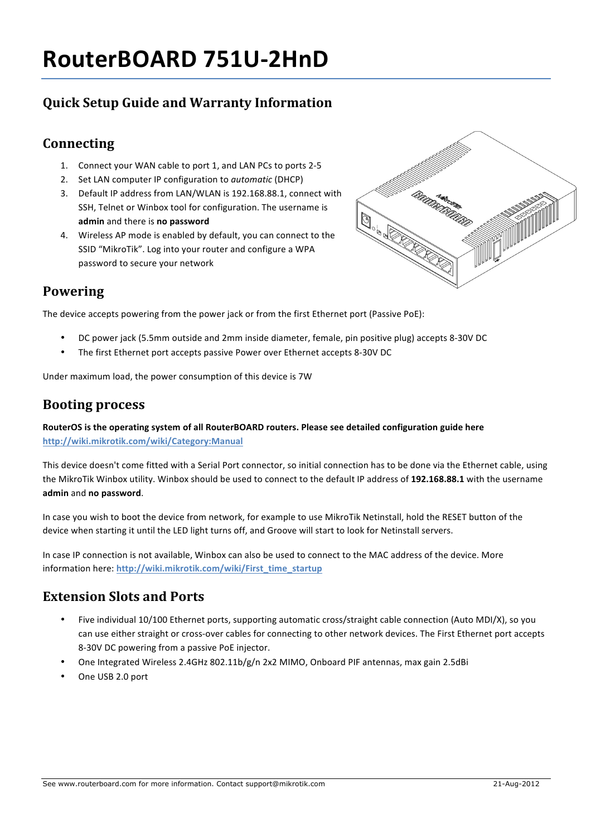# **RouterBOARD 751U-2HnD**

# **Quick Setup Guide and Warranty Information**

#### **Connecting**

- 1. Connect your WAN cable to port 1, and LAN PCs to ports 2-5
- 2. Set LAN computer IP configuration to *automatic* (DHCP)
- 3. Default IP address from LAN/WLAN is 192.168.88.1, connect with SSH, Telnet or Winbox tool for configuration. The username is admin and there is no password
- 4. Wireless AP mode is enabled by default, you can connect to the SSID "MikroTik". Log into your router and configure a WPA password to secure your network



#### **Powering**

The device accepts powering from the power jack or from the first Ethernet port (Passive PoE):

- DC power jack (5.5mm outside and 2mm inside diameter, female, pin positive plug) accepts 8-30V DC
- The first Ethernet port accepts passive Power over Ethernet accepts 8-30V DC

Under maximum load, the power consumption of this device is 7W

#### **Booting process**

RouterOS is the operating system of all RouterBOARD routers. Please see detailed configuration guide here **http://wiki.mikrotik.com/wiki/Category:Manual**

This device doesn't come fitted with a Serial Port connector, so initial connection has to be done via the Ethernet cable, using the MikroTik Winbox utility. Winbox should be used to connect to the default IP address of 192.168.88.1 with the username **admin** and **no password**.

In case you wish to boot the device from network, for example to use MikroTik Netinstall, hold the RESET button of the device when starting it until the LED light turns off, and Groove will start to look for Netinstall servers.

In case IP connection is not available, Winbox can also be used to connect to the MAC address of the device. More information here: http://wiki.mikrotik.com/wiki/First\_time\_startup

#### **Extension Slots and Ports**

- Five individual 10/100 Ethernet ports, supporting automatic cross/straight cable connection (Auto MDI/X), so you can use either straight or cross-over cables for connecting to other network devices. The First Ethernet port accepts 8-30V DC powering from a passive PoE injector.
- One Integrated Wireless 2.4GHz 802.11b/g/n 2x2 MIMO, Onboard PIF antennas, max gain 2.5dBi
- One USB 2.0 port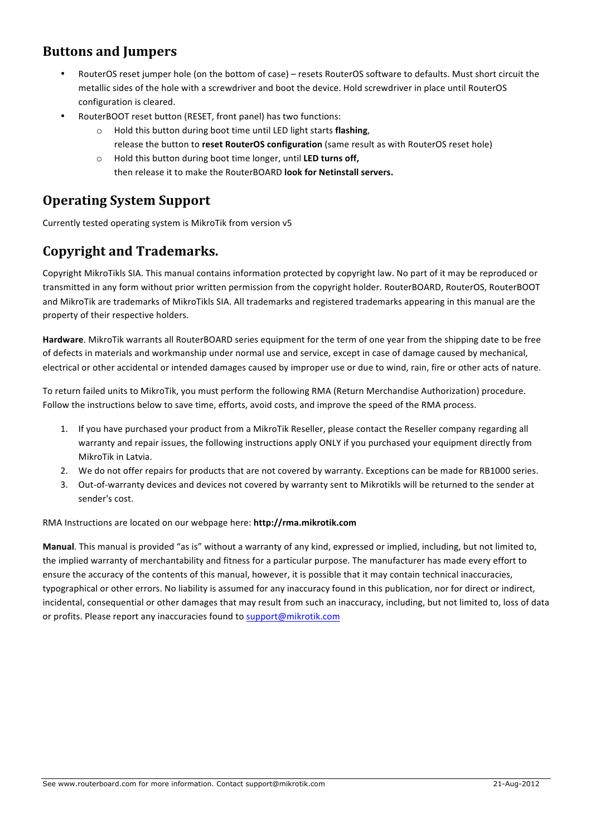#### **Buttons and Jumpers**

- RouterOS reset jumper hole (on the bottom of case) resets RouterOS software to defaults. Must short circuit the metallic sides of the hole with a screwdriver and boot the device. Hold screwdriver in place until RouterOS configuration is cleared.
- RouterBOOT reset button (RESET, front panel) has two functions:
	- o Hold this button during boot time until LED light starts **flashing**, release the button to reset RouterOS configuration (same result as with RouterOS reset hole)
	- o Hold this button during boot time longer, until LED turns off, then release it to make the RouterBOARD **look for Netinstall servers.**

#### **Operating System Support**

Currently tested operating system is MikroTik from version v5

### **Copyright and Trademarks.**

Copyright MikroTikls SIA. This manual contains information protected by copyright law. No part of it may be reproduced or transmitted in any form without prior written permission from the copyright holder. RouterBOARD, RouterOS, RouterBOOT and MikroTik are trademarks of MikroTikls SIA. All trademarks and registered trademarks appearing in this manual are the property of their respective holders.

Hardware. MikroTik warrants all RouterBOARD series equipment for the term of one year from the shipping date to be free of defects in materials and workmanship under normal use and service, except in case of damage caused by mechanical, electrical or other accidental or intended damages caused by improper use or due to wind, rain, fire or other acts of nature.

To return failed units to MikroTik, you must perform the following RMA (Return Merchandise Authorization) procedure. Follow the instructions below to save time, efforts, avoid costs, and improve the speed of the RMA process.

- 1. If you have purchased your product from a MikroTik Reseller, please contact the Reseller company regarding all warranty and repair issues, the following instructions apply ONLY if you purchased your equipment directly from MikroTik in Latvia.
- 2. We do not offer repairs for products that are not covered by warranty. Exceptions can be made for RB1000 series.
- 3. Out-of-warranty devices and devices not covered by warranty sent to Mikrotikls will be returned to the sender at sender's cost.

#### RMA Instructions are located on our webpage here: http://rma.mikrotik.com

**Manual**. This manual is provided "as is" without a warranty of any kind, expressed or implied, including, but not limited to, the implied warranty of merchantability and fitness for a particular purpose. The manufacturer has made every effort to ensure the accuracy of the contents of this manual, however, it is possible that it may contain technical inaccuracies, typographical or other errors. No liability is assumed for any inaccuracy found in this publication, nor for direct or indirect, incidental, consequential or other damages that may result from such an inaccuracy, including, but not limited to, loss of data or profits. Please report any inaccuracies found to support@mikrotik.com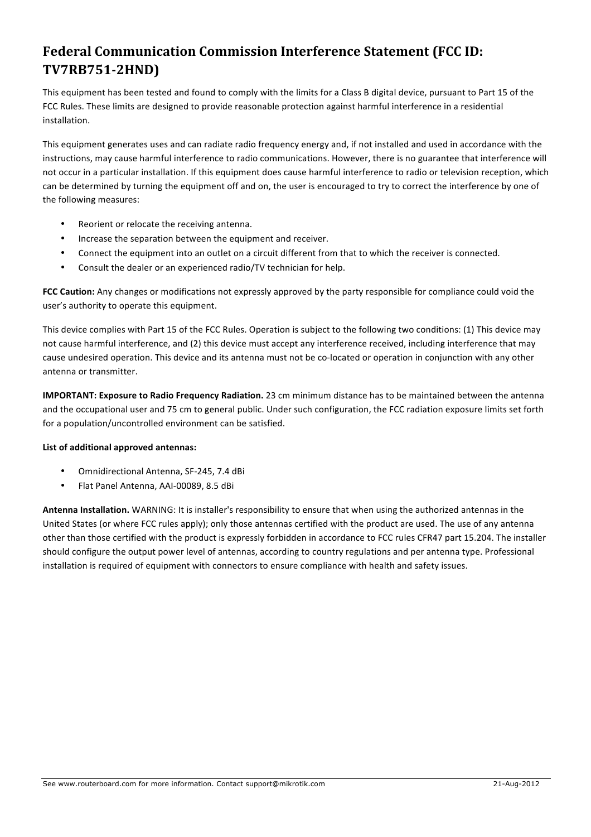# **Federal Communication Commission Interference Statement (FCC ID: TV7RB751-2HND)**

This equipment has been tested and found to comply with the limits for a Class B digital device, pursuant to Part 15 of the FCC Rules. These limits are designed to provide reasonable protection against harmful interference in a residential installation.

This equipment generates uses and can radiate radio frequency energy and, if not installed and used in accordance with the instructions, may cause harmful interference to radio communications. However, there is no guarantee that interference will not occur in a particular installation. If this equipment does cause harmful interference to radio or television reception, which can be determined by turning the equipment off and on, the user is encouraged to try to correct the interference by one of the following measures:

- Reorient or relocate the receiving antenna.
- Increase the separation between the equipment and receiver.
- Connect the equipment into an outlet on a circuit different from that to which the receiver is connected.
- Consult the dealer or an experienced radio/TV technician for help.

FCC Caution: Any changes or modifications not expressly approved by the party responsible for compliance could void the user's authority to operate this equipment.

This device complies with Part 15 of the FCC Rules. Operation is subject to the following two conditions: (1) This device may not cause harmful interference, and (2) this device must accept any interference received, including interference that may cause undesired operation. This device and its antenna must not be co-located or operation in conjunction with any other antenna or transmitter.

**IMPORTANT: Exposure to Radio Frequency Radiation.** 23 cm minimum distance has to be maintained between the antenna and the occupational user and 75 cm to general public. Under such configuration, the FCC radiation exposure limits set forth for a population/uncontrolled environment can be satisfied.

#### List of additional approved antennas:

- Omnidirectional Antenna, SF-245, 7.4 dBi
- Flat Panel Antenna, AAI-00089, 8.5 dBi

**Antenna Installation.** WARNING: It is installer's responsibility to ensure that when using the authorized antennas in the United States (or where FCC rules apply); only those antennas certified with the product are used. The use of any antenna other than those certified with the product is expressly forbidden in accordance to FCC rules CFR47 part 15.204. The installer should configure the output power level of antennas, according to country regulations and per antenna type. Professional installation is required of equipment with connectors to ensure compliance with health and safety issues.